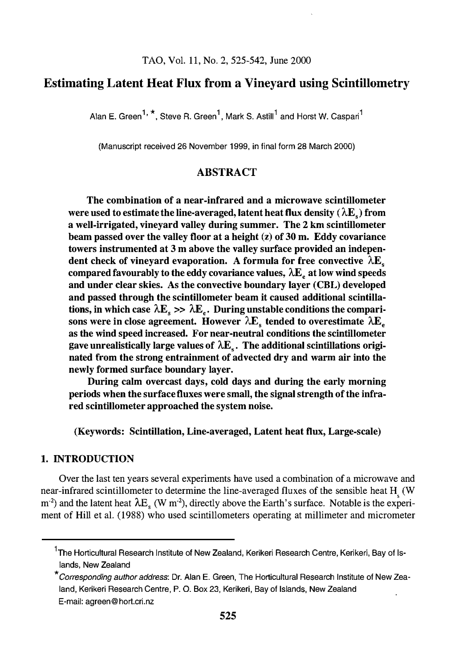## Estimating Latent Heat Flux from a Vineyard using Scintillometry

Alan E. Green<sup>1, \*</sup>, Steve R. Green<sup>1</sup>, Mark S. Astill<sup>1</sup> and Horst W. Caspari<sup>1</sup>

(Manuscript received 26 November 1999, in final form 28 March 2000)

## ABSTRACT

The combination of a near-infrared and a microwave scintillometer were used to estimate the line-averaged, latent heat flux density ( $\lambda E_s$ ) from a well-irrigated, vineyard valley during summer. The 2 km scintillometer beam passed over the valley floor at a height  $(z)$  of 30 m. Eddy covariance towers instrumented at 3 m above the valley surface provided an independent check of vineyard evaporation. A formula for free convective  $\lambda E_s$ compared favourably to the eddy covariance values,  $\lambda E_{\mu}$  at low wind speeds and under clear skies. As the convective boundary layer (CBL) developed and passed through the scintillometer beam it caused additional scintillations, in which case  $\lambda E_s \gg \lambda E_c$ . During unstable conditions the comparisons were in close agreement. However  $\lambda E_{s}$  tended to overestimate  $\lambda E_{e}$ as the wind speed increased. For near-neutral conditions the scintillometer gave unrealistically large values of  $\lambda E_s$ . The additional scintillations originated from the strong entrainment of advected dry and warm air into the newly formed surface boundary layer.

During calm overcast days, cold days and during the early morning periods when the surface fluxes were small, the signal strength of the infrared scintillometer approached the system noise.

(Keywords: Scintillation, Line-averaged, Latent heat flux, Large-scale)

#### 1. INTRODUCTION

Over the last ten years several experiments have used a combination of a microwave and near-infrared scintillometer to determine the line-averaged fluxes of the sensible heat H<sub>s</sub> (W)  $(m<sup>2</sup>)$  and the latent heat  $\lambda E_s$  (W m<sup>-2</sup>), directly above the Earth's surface. Notable is the experiment of Hill et al. (1988) who used scintillometers operating at millimeter and micrometer

<sup>&</sup>lt;sup>1</sup>The Horticultural Research Institute of New Zealand, Kerikeri Research Centre, Kerikeri, Bay of Islands, New Zealand

<sup>\*</sup>Corresponding author address: Dr. Alan E. Green, The Horticultural Research Institute of New Zealand, Kerikeri Research Centre, P. 0. Box 23, Kerikeri, Bay of Islands, New Zealand E-mail: agreen@hort.cri.nz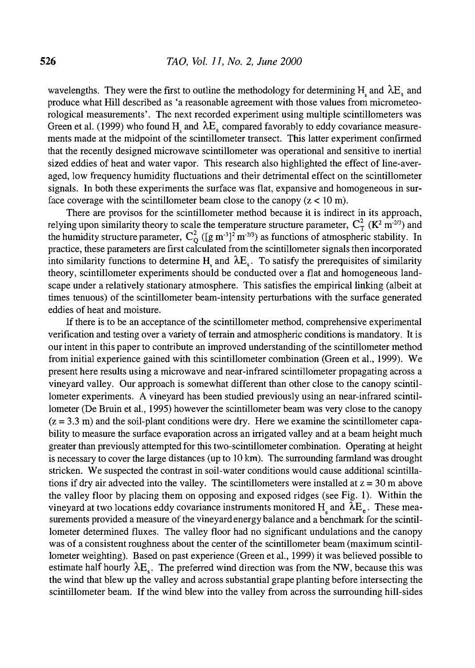wavelengths. They were the first to outline the methodology for determining H, and  $\lambda E_s$  and produce what Hill described as 'a reasonable agreement with those values from micrometeorological measurements'. The next recorded experiment using multiple scintillometers was Green et al. (1999) who found H and  $\lambda$ E, compared favorably to eddy covariance measurements made at the midpoint of the scintillometer transect. This latter experiment confirmed that the recently designed microwave scintillometer was operational and sensitive to inertial sized eddies of heat and water vapor. This research also highlighted the effect of line-averaged, low frequency humidity fluctuations and their detrimental effect on the scintillometer signals. In both these experiments the surface was flat, expansive and homogeneous in surface coverage with the scintillometer beam close to the canopy  $(z < 10 \text{ m})$ .

There are provisos for the scintillometer method because it is indirect in its approach, relying upon similarity theory to scale the temperature structure parameter,  $C_T^2$  ( $K^2$  m<sup>-213</sup>) and the humidity structure parameter,  $C_0^2$  ([g m<sup>-3</sup>]<sup>2</sup> m<sup>-2/3</sup>) as functions of atmospheric stability. In practice, these parameters are first calculated from the scintillometer signals then incorporated into similarity functions to determine H and  $\lambda E_s$ . To satisfy the prerequisites of similarity theory, scintillometer experiments should be conducted over a flat and homogeneous landscape under a relatively stationary atmosphere. This satisfies the empirical linking (albeit at times tenuous) of the scintillometer beam-intensity perturbations with the surface generated eddies of heat and moisture.

If there is to be an acceptance of the scintillometer method, comprehensive experimental verification and testing over a variety of terrain and atmospheric conditions is mandatory. It is our intent in this paper to contribute an improved understanding of the scintillometer method from initial experience gained with this scintillometer combination (Green et al., 1999). We present here results using a microwave and near-infrared scintillometer propagating across a vineyard valley. Our approach is somewhat different than other close to the canopy scintillometer experiments. A vineyard has been studied previously using an near-infrared scintillometer (De Bruin et al., 1995) however the scintillometer beam was very close to the canopy  $(z = 3.3 \text{ m})$  and the soil-plant conditions were dry. Here we examine the scintillometer capability to measure the surface evaporation across an irrigated valley and at a beam height much greater than previously attempted for this two-scintillometer combination. Operating at height is necessary to cover the large distances (up to 10 km). The surrounding farmland was drought stricken. We suspected the contrast in soil-water conditions would cause additional scintillations if dry air advected into the valley. The scintillometers were installed at  $z = 30$  m above the valley floor by placing them on opposing and exposed ridges (see Fig. 1). Within the vineyard at two locations eddy covariance instruments monitored  $H_{\text{e}}$  and  $\lambda E_{\text{e}}$ . These measurements provided a measure of the vineyard energy balance and a benchmark for the scintillometer determined fluxes. The valley floor had no significant undulations and the canopy was of a consistent roughness about the center of the scintillometer beam (maximum scintillometer weighting). Based on past experience (Green et al., 1999) it was believed possible to estimate half hourly  $\lambda E_s$ . The preferred wind direction was from the NW, because this was the wind that blew up the valley and across substantial grape planting before intersecting the scintillometer beam. If the wind blew into the valley from across the surrounding hill-sides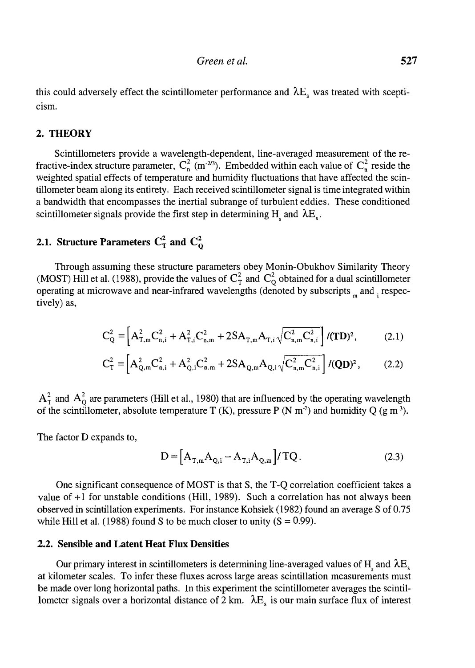this could adversely effect the scintillometer performance and  $\lambda E_s$  was treated with scepticism.

#### 2. THEORY

Scintillometers provide a wavelength-dependent, line-averaged measurement of the refractive-index structure parameter,  $C_n^2$  (m<sup>-213</sup>). Embedded within each value of  $C_n^2$  reside the weighted spatial effects of temperature and humidity fluctuations that have affected the scintillometer beam along its entirety. Each received scintillometer signal is time integrated within a bandwidth that encompasses the inertial subrange of turbulent eddies. These conditioned scintillometer signals provide the first step in determining  $H_1$  and  $\lambda E_2$ .

# 2.1. Structure Parameters  $C_T^2$  and  $C_O^2$

Through assuming these structure parameters obey Monin-Obukhov Similarity Theory (MOST) Hill et al. (1988), provide the values of  $C_T^2$  and  $C_Q^2$  obtained for a dual scintillometer operating at microwave and near-infrared wavelengths (denoted by subscripts  $_m$  and  $_i$  respectively) as,

$$
C_Q^2 = \left[ A_{T,m}^2 C_{n,i}^2 + A_{T,i}^2 C_{n,m}^2 + 2SA_{T,m} A_{T,i} \sqrt{C_{n,m}^2 C_{n,i}^2} \right] / (TD)^2, \tag{2.1}
$$

$$
C_T^2 = \left[ A_{Q,m}^2 C_{n,i}^2 + A_{Q,i}^2 C_{n,m}^2 + 2SA_{Q,m} A_{Q,i} \sqrt{C_{n,m}^2 C_{n,i}^2} \right] / (QD)^2, \tag{2.2}
$$

 $A_T^2$  and  $A_O^2$  are parameters (Hill et al., 1980) that are influenced by the operating wavelength of the scintillometer, absolute temperature T (K), pressure P (N m<sup>-2</sup>) and humidity Q (g m<sup>-3</sup>).

The factor D expands to,

$$
D = [A_{T,m} A_{Q,i} - A_{T,i} A_{Q,m}] / TQ.
$$
 (2.3)

One significant consequence of MOST is that S, the T-Q correlation coefficient takes a value of  $+1$  for unstable conditions (Hill, 1989). Such a correlation has not always been observed in scintillation experiments. For instance Kohsiek (1982) found an average S of 0.75 while Hill et al. (1988) found S to be much closer to unity  $(S = 0.99)$ .

#### 2.2. Sensible and Latent Heat Flux Densities

Our primary interest in scintillometers is determining line-averaged values of H<sub>,</sub> and  $\lambda E$ , at kilometer scales. To infer these fluxes across large areas scintillation measurements must be made over long horizontal paths. In this experiment the scintillometer averages the scintillometer signals over a horizontal distance of 2 km.  $\lambda E_s$  is our main surface flux of interest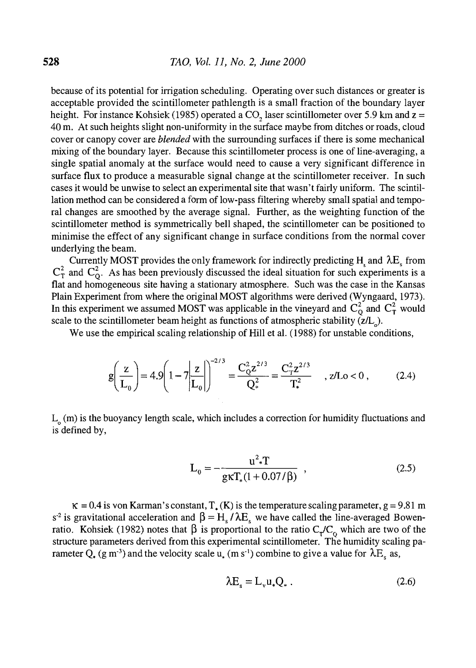because of its potential for irrigation scheduling. Operating over such distances or greater is acceptable provided the scintillometer pathlength is a small fraction of the boundary layer height. For instance Kohsiek (1985) operated a CO<sub>2</sub> laser scintillometer over 5.9 km and  $z =$ 40 m. At such heights slight non-uniformity in the surface maybe from ditches or roads, cloud cover or canopy cover are *blended* with the surrounding surfaces if there is some mechanical mixing of the boundary layer. Because this scintillometer process is one of line-averaging, a single spatial anomaly at the surface would need to cause a very significant difference in surface flux to produce a measurable signal change at the scintillometer receiver. In such cases it would be unwise to select an experimental site that wasn't fairly uniform. The scintillation method can be considered a form of low-pass filtering whereby small spatial and temporal changes are smoothed by the average signal. Further, as the weighting function of the scintillometer method is symmetrically bell shaped, the scintillometer can be positioned to minimise the effect of any significant change in surface conditions from the normal cover underlying the beam.

Currently MOST provides the only framework for indirectly predicting H<sub>s</sub> and  $\lambda E_s$  from  $C_T^2$  and  $C_O^2$ . As has been previously discussed the ideal situation for such experiments is a flat and homogeneous site having a stationary atmosphere. Such was the case in the Kansas Plain Experiment from where the original MOST algorithms were derived (Wyngaard, 1973). In this experiment we assumed MOST was applicable in the vineyard and  $C_\Omega^2$  and  $C_\Gamma^2$  would scale to the scintillometer beam height as functions of atmospheric stability ( $z/L$ <sub>o</sub>).

We use the empirical scaling relationship of Hill et al. (1988) for unstable conditions,

$$
g\left(\frac{z}{L_0}\right) = 4.9 \left(1 - 7\left|\frac{z}{L_0}\right|\right)^{-2/3} = \frac{C_0^2 z^{2/3}}{Q_*^2} = \frac{C_T^2 z^{2/3}}{T_*^2} \quad , \, z/L_0 < 0 \,, \tag{2.4}
$$

 $L_0$  (m) is the buoyancy length scale, which includes a correction for humidity fluctuations and is defined by,

$$
L_0 = -\frac{u^2 \cdot T}{g \kappa T_*(1 + 0.07/\beta)},
$$
\n(2.5)

 $\kappa = 0.4$  is von Karman's constant,  $T_{\star}(\kappa)$  is the temperature scaling parameter,  $g = 9.81$  m s<sup>-2</sup> is gravitational acceleration and  $\beta = H_s / \lambda E_s$  we have called the line-averaged Bowenratio. Kohsiek (1982) notes that  $\beta$  is proportional to the ratio  $C_{\tau}/C_{\alpha}$  which are two of the structure parameters derived from this experimental scintillometer. The humidity scaling parameter Q. (g m<sup>-3</sup>) and the velocity scale u<sub>x</sub> (m s<sup>-1</sup>) combine to give a value for  $\lambda E_s$  as,

$$
\lambda E_s = L_v u_* Q_* . \qquad (2.6)
$$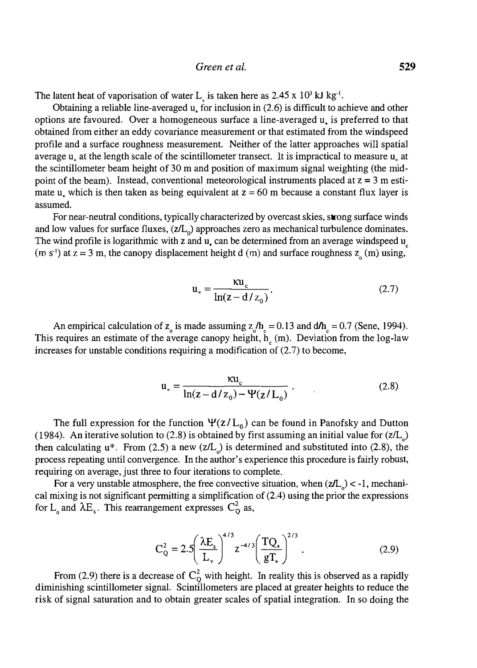The latent heat of vaporisation of water L<sub>y</sub> is taken here as  $2.45 \times 10^3$  kJ kg<sup>-1</sup>.

Obtaining a reliable line-averaged u. for inclusion in (2.6) is difficult to achieve and other options are favoured. Over a homogeneous surface a line-averaged u. is preferred to that obtained from either an eddy covariance measurement or that estimated from the windspeed profile and a surface roughness measurement. Neither of the latter approaches will spatial average  $u<sub>a</sub>$  at the length scale of the scintillometer transect. It is impractical to measure  $u<sub>a</sub>$  at the scintillometer beam height of 30 m and position of maximum signal weighting (the midpoint of the beam). Instead, conventional meteorological instruments placed at  $z = 3$  m estimate u, which is then taken as being equivalent at  $z = 60$  m because a constant flux layer is assumed.

For near-neutral conditions, typically characterized by overcast skies, strong surface winds and low values for surface fluxes,  $(z/L_0)$  approaches zero as mechanical turbulence dominates. The wind profile is logarithmic with z and  $\mathbf{u}_i$  can be determined from an average windspeed  $\mathbf{u}_i$ (m s<sup>-1</sup>) at  $z = 3$  m, the canopy displacement height d (m) and surface roughness  $z_0$  (m) using,

$$
\mathbf{u}_{*} = \frac{\mathbf{\kappa} \mathbf{u}_{c}}{\ln(z - d/z_{0})}.
$$
 (2.7)

An empirical calculation of  $z_0$  is made assuming  $z_0/h_c = 0.13$  and  $d/h_c = 0.7$  (Sene, 1994). This requires an estimate of the average canopy height,  $h<sub>o</sub>$  (m). Deviation from the log-law increases for unstable conditions requiring a modification of (2.7) to become,

$$
u_{*} = \frac{\kappa u_{c}}{\ln(z - d/z_{0}) - \Psi(z/L_{0})}
$$
 (2.8)

The full expression for the function  $\Psi(z/L_0)$  can be found in Panofsky and Dutton (1984). An iterative solution to (2.8) is obtained by first assuming an initial value for  $(z/L)$ then calculating  $u^*$ . From (2.5) a new (z/L<sub>n</sub>) is determined and substituted into (2.8), the process repeating until convergence. In the author's experience this procedure is fairly robust, requiring on average, just three to four iterations to complete.

For a very unstable atmosphere, the free convective situation, when  $(z/L_0)$  < -1, mechanical mixing is not significant permitting a simplification of (2.4) using the prior the expressions for L<sub>o</sub> and  $\lambda$ E<sub>s</sub>. This rearrangement expresses C<sub>o</sub><sup>2</sup> as,

$$
C_Q^2 = 2.5 \left( \frac{\lambda E_s}{L_v} \right)^{4/3} z^{-4/3} \left( \frac{T Q_*}{g T_*} \right)^{2/3} .
$$
 (2.9)

From (2.9) there is a decrease of  $C_0^2$  with height. In reality this is observed as a rapidly diminishing scintillometer signal. Scintillometers are placed at greater heights to reduce the risk of signal saturation and to obtain greater scales of spatial integration. In so doing the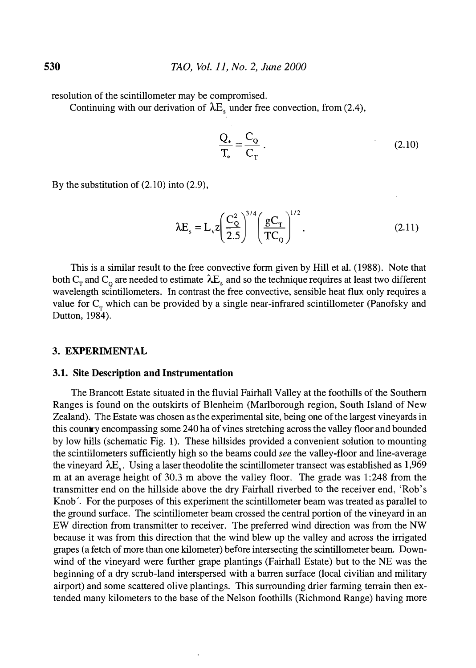resolution of the scintillometer may be compromised.

Continuing with our derivation of  $\lambda E_s$  under free convection, from (2.4),

$$
\frac{Q_*}{T_*} = \frac{C_Q}{C_T} \tag{2.10}
$$

By the substitution of (2.10) into (2.9),

$$
\lambda E_s = L_v z \left(\frac{C_Q^2}{2.5}\right)^{3/4} \left(\frac{gC_T}{TC_Q}\right)^{1/2}.
$$
 (2.11)

This is a similar result to the free convective form given by Hill et al. (1988). Note that both  $C_T$  and  $C_Q$  are needed to estimate  $\lambda E_s$  and so the technique requires at least two different wavelength scintillometers. In contrast the free convective, sensible heat flux only requires a value for  $C<sub>r</sub>$  which can be provided by a single near-infrared scintillometer (Panofsky and Dutton, 1984).

#### 3. EXPERIMENTAL

#### 3.1. Site Description and Instrumentation

The Brancott Estate situated in the fluvial Fairhall Valley at the foothills of the Southern Ranges is found on the outskirts of Blenheim (Marlborough region, South Island of New Zealand). The Estate was chosen as the experimental site, being one of the largest vineyards in this country encompassing some 240 ha of vines stretching across the valley floor and bounded by low hills (schematic Fig. 1). These hillsides provided a convenient solution to mounting the scintillometers sufficiently high so the beams could see the valley-floor and line-average the vineyard  $\lambda E_s$ . Using a laser theodolite the scintillometer transect was established as 1,969 m at an average height of 30.3 m above the valley floor. The grade was 1:248 from the transmitter end on the hillside above the dry Fairhall riverbed to the receiver end, 'Rob's Knob'. For the purposes of this experiment the scintillometer beam was treated as parallel to the ground surface. The scintillometer beam crossed the central portion of the vineyard in an EW direction from transmitter to receiver. The preferred wind direction was from the NW because it was from this direction that the wind blew up the valley and across the irrigated grapes (a fetch of more than one kilometer) before intersecting the scintillometer beam. Downwind of the vineyard were further grape plantings (Fairhall Estate) but to the NE was the beginning of a dry scrub-land interspersed with a barren surface (local civilian and military airport) and some scattered olive plantings. This surrounding drier farming terrain then extended many kilometers to the base of the Nelson foothills (Richmond Range) having more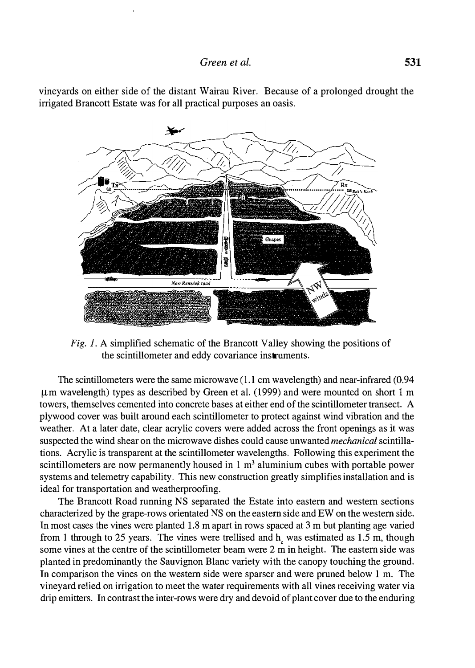

vineyards on either side of the distant Wairau River. Because of a prolonged drought the irrigated Brancott Estate was for all practical purposes an oasis.

Fig. I. A simplified schematic of the Brancott Valley showing the positions of the scintillometer and eddy covariance instruments.

The scintillometers were the same microwave (1.1 cm wavelength) and near-infrared (0.94 µm wavelength) types as described by Green et al. (1999) and were mounted on short 1 m towers, themselves cemented into concrete bases at either end of the scintillometer transect. A plywood cover was built around each scintillometer to protect against wind vibration and the weather. At a later date, clear acrylic covers were added across the front openings as it was suspected the wind shear on the microwave dishes could cause unwanted mechanical scintillations. Acrylic is transparent at the scintillometer wavelengths. Following this experiment the scintillometers are now permanently housed in  $1 \text{ m}^3$  aluminium cubes with portable power systems and telemetry capability. This new construction greatly simplifies installation and is ideal for transportation and weatherproofing.

The Brancott Road running NS separated the Estate into eastern and western sections characterized by the grape-rows orientated NS on the eastern side and EW on the western side. In most cases the vines were planted 1.8 m apart in rows spaced at 3 m but planting age varied from 1 through to 25 years. The vines were trellised and  $h<sub>s</sub>$  was estimated as 1.5 m, though some vines at the centre of the scintillometer beam were 2 m in height. The eastern side was planted in predominantly the Sauvignon Blanc variety with the canopy touching the ground. In comparison the vines on the western side were sparser and were pruned below 1 m. The vineyard relied on irrigation to meet the water requirements with all vines receiving water via drip emitters. In contrast the inter-rows were dry and devoid of plant cover due to the enduring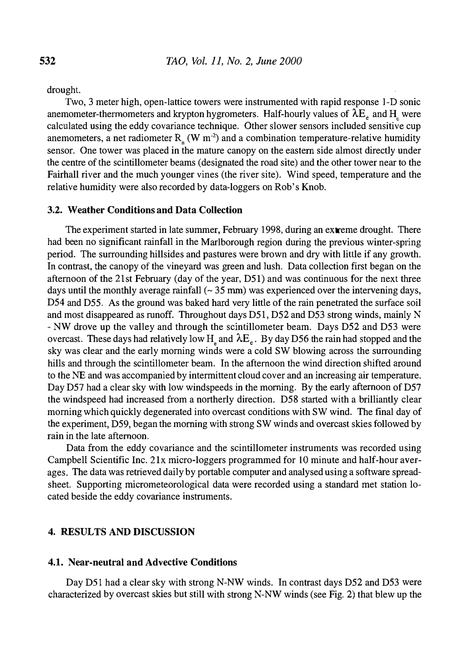drought.

Two, 3 meter high, open-lattice towers were instrumented with rapid response 1-D sonic anemometer-thermometers and krypton hygrometers. Half-hourly values of  $\lambda E$  and H were calculated using the eddy covariance technique. Other slower sensors included sensitive cup anemometers, a net radiometer  $R_{\mu}$  (W m<sup>-2</sup>) and a combination temperature-relative humidity sensor. One tower was placed in the mature canopy on the eastern side almost directly under the centre of the scintillometer beams (designated the road site) and the other tower near to the Fairhall river and the much younger vines (the river site). Wind speed, temperature and the relative humidity were also recorded by data-loggers on Rob's Knob.

### 3.2. Weather Conditions and Data Collection

The experiment started in late summer, February 1998, during an  $ext{ex}$  reme drought. There had been no significant rainfall in the Marlborough region during the previous winter-spring period. The surrounding hillsides and pastures were brown and dry with little if any growth. In contrast, the canopy of the vineyard was green and lush. Data collection first began on the afternoon of the 21st February (day of the year, D51) and was continuous for the next three days until the monthly average rainfall  $\sim$  35 mm) was experienced over the intervening days, D54 and D55. As the ground was baked hard very little of the rain penetrated the surface soil and most disappeared as runoff. Throughout days D51, D52 and D53 strong winds, mainly N - NW drove up the valley and through the scintillometer beam. Days D52 and D53 were overcast. These days had relatively low H<sub>2</sub> and  $\lambda E_e$ . By day D56 the rain had stopped and the sky was clear and the early morning winds were a cold SW blowing across the surrounding hills and through the scintillometer beam. In the afternoon the wind direction shifted around to the NE and was accompanied by intermittent cloud cover and an increasing air temperature. Day D57 had a clear sky with low windspeeds in the morning. By the early afternoon of D57 the windspeed had increased from a northerly direction. D58 started with a brilliantly clear morning which quickly degenerated into overcast conditions with SW wind. The final day of the experiment, 059, began the morning with strong SW winds and overcast skies followed by rain in the late afternoon.

Data from the eddy covariance and the scintillometer instruments was recorded using Campbell Scientific Inc. 21x micro-loggers programmed for 10 minute and half-hour averages. The data was retrieved daily by portable computer and analysed using a software spreadsheet. Supporting micrometeorological data were recorded using a standard met station located beside the eddy covariance instruments.

#### 4. RESULTS AND DISCUSSION

#### 4.1. Near-neutral and Advective Conditions

Day D51 had a clear sky with strong N-NW winds. In contrast days D52 and D53 were characterized by overcast skies but still with strong N-NW winds (see Fig. 2) that blew up the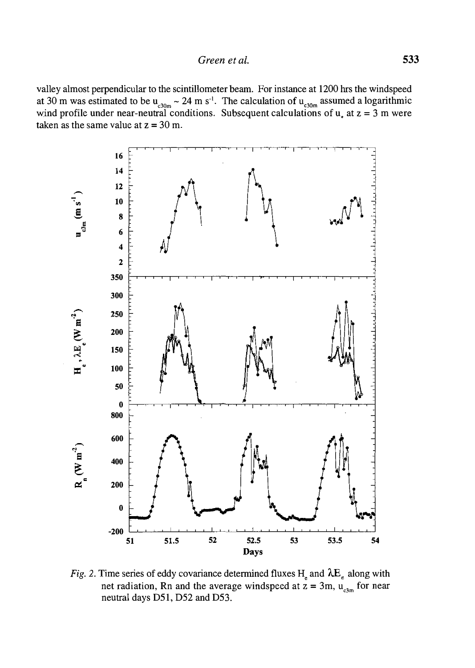valley almost perpendicular to the scintillometer beam. For instance at 1200 hrs the windspeed at 30 m was estimated to be  $u_{c30m} \sim 24$  m s<sup>of</sup>. The calculation of  $u_{c30m}$  assumed a logarithmic wind profile under near-neutral conditions. Subsequent calculations of  $u<sub>z</sub>$  at  $z = 3$  m were taken as the same value at  $z = 30$  m.



Fig. 2. Time series of eddy covariance determined fluxes  $H_e$  and  $\lambda E_e$  along with net radiation, Rn and the average windspeed at  $z = 3$ m,  $u_{c3m}$  for near neutral days 051, 052 and 053.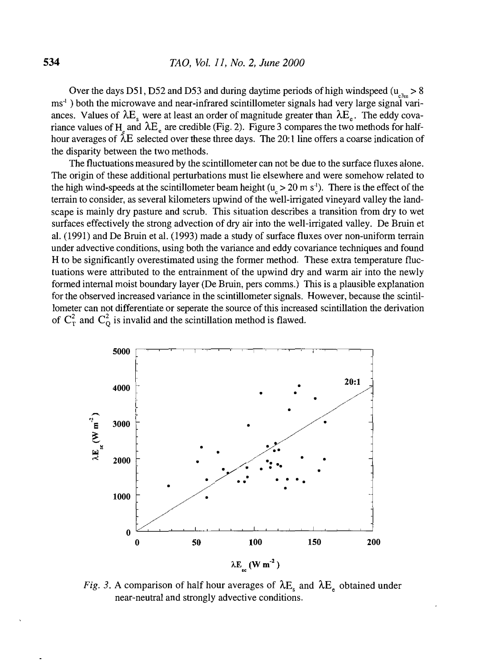Over the days D51, D52 and D53 and during daytime periods of high windspeed ( $u_{\text{max}} > 8$ ms<sup>-1</sup>) both the microwave and near-infrared scintillometer signals had very large signal variances. Values of  $\lambda E_s$  were at least an order of magnitude greater than  $\lambda E_e$ . The eddy covariance values of H and  $\lambda E_e$  are credible (Fig. 2). Figure 3 compares the two methods for half-<br>have averages of  $\lambda E_e$  calcated aver these three days. The 2011 line offers a secree indication of hour averages of  $\lambda E$  selected over these three days. The 20:1 line offers a coarse indication of the disparity between the two methods.

The fluctuations measured by the scintillometer can not be due to the surface fluxes alone. The origin of these additional perturbations must lie elsewhere and were somehow related to the high wind-speeds at the scintillometer beam height ( $u > 20$  m s<sup>-1</sup>). There is the effect of the terrain to consider, as several kilometers upwind of the well-irrigated vineyard valley the landscape is mainly dry pasture and scrub. This situation describes a transition from dry to wet surfaces effectively the strong advection of dry air into the well-irrigated valley. De Bruin et al. (1991) and De Bruin et al. (1993) made a study of surface fluxes over non-uniform terrain under advective conditions, using both the variance and eddy covariance techniques and found H to be significantly overestimated using the former method. These extra temperature fluctuations were attributed to the entrainment of the upwind dry and warm air into the newly formed internal moist boundary layer (De Bruin, pers comms.) This is a plausible explanation for the observed increased variance in the scintillometer signals. However, because the scintillometer can not differentiate or seperate the source of this increased scintillation the derivation of  $C_T^2$  and  $C_Q^2$  is invalid and the scintillation method is flawed.



Fig. 3. A comparison of half hour averages of  $\lambda E_s$  and  $\lambda E_e$  obtained under near-neutral and strongly advective conditions.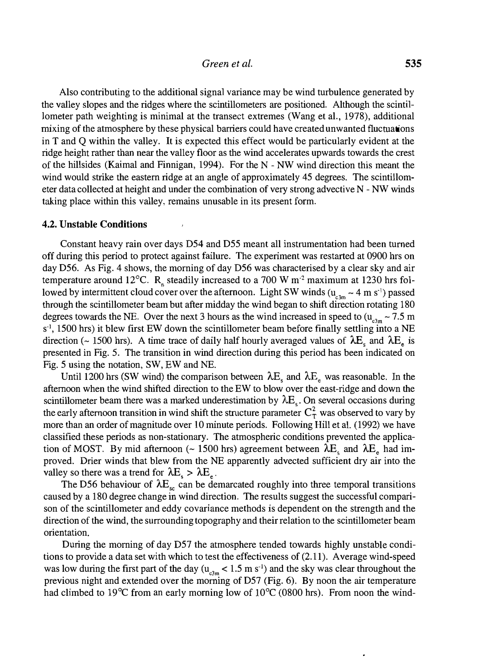#### Green et al. 535

Also contributing to the additional signal variance may be wind turbulence generated by the valley slopes and the ridges where the scintillometers are positioned. Although the scintillometer path weighting is minimal at the transect extremes (Wang et al., 1978), additional mixing of the atmosphere by these physical barriers could have created unwanted fluctuations in T and Q within the valley. It is expected this effect would be particularly evident at the ridge height rather than near the valley floor as the wind accelerates upwards towards the crest of the hillsides (Kaimal and Finnigan, 1994). For the N - NW wind direction this meant the wind would strike the eastern ridge at an angle of approximately 45 degrees. The scintillometer data collected at height and under the combination of very strong advective N - NW winds taking place within this valley, remains unusable in its present form.

#### 4.2. Unstable Conditions

Constant heavy rain over days D54 and D55 meant all instrumentation had been turned off during this period to protect against failure. The experiment was restarted at 0900 hrs on day D56. As Fig. 4 shows, the morning of day D56 was characterised by a clear sky and air temperature around 12°C. R<sub>n</sub> steadily increased to a 700 W m<sup>-2</sup> maximum at 1230 hrs followed by intermittent cloud cover over the afternoon. Light SW winds  $(u_{3m} \sim 4 \text{ m s}^2)$  passed through the scintillometer beam but after midday the wind began to shift direction rotating 180 degrees towards the NE. Over the next 3 hours as the wind increased in speed to  $(u_{e_{3m}} \sim 7.5 \text{ m})$ s<sup>-1</sup>, 1500 hrs) it blew first EW down the scintillometer beam before finally settling into a NE direction (~ 1500 hrs). A time trace of daily half hourly averaged values of  $\lambda E<sub>s</sub>$  and  $\lambda E<sub>e</sub>$  is presented in Fig. 5. The transition in wind direction during this period has been indicated on Fig. 5 using the notation, SW, EW and NE.

Until 1200 hrs (SW wind) the comparison between  $\lambda E_s$  and  $\lambda E_e$  was reasonable. In the afternoon when the wind shifted direction to the EW to blow over the east-ridge and down the scintillometer beam there was a marked underestimation by  $\lambda E_{s}$ . On several occasions during the early afternoon transition in wind shift the structure parameter  $C_r^2$  was observed to vary by more than an order of magnitude over 10 minute periods. Following Hill et aL (1992) we have classified these periods as non-stationary. The atmospheric conditions prevented the application of MOST. By mid afternoon (~ 1500 hrs) agreement between  $\lambda E_s$  and  $\lambda E_e$  had improved. Drier winds that blew from the NE apparently advected sufficient dry air into the valley so there was a trend for  $\lambda E \ge \lambda E$ .

The D56 behaviour of  $\lambda E_{sc}$  can be demarcated roughly into three temporal transitions caused by a 180 degree change in wind direction. The results suggest the successful comparison of the scintillometer and eddy covariance methods is dependent on the strength and the direction of the wind, the surrounding topography and their relation to the scintillometer beam orientation.

During the morning of day D57 the atmosphere tended towards highly unstable conditions to provide a data set with which to test the effectiveness of (2.11). Average wind-speed was low during the first part of the day  $(u_{c3m} < 1.5 \text{ m s}^{-1})$  and the sky was clear throughout the previous night and extended over the morning of D57 (Fig. 6). By noon the air temperature had climbed to 19<sup>o</sup>C from an early morning low of 10<sup>o</sup>C (0800 hrs). From noon the wind-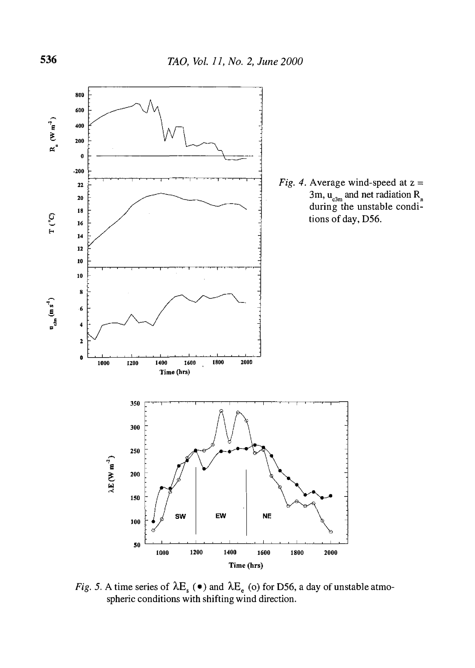

Fig. 5. A time series of  $\lambda E_s$  ( $\bullet$ ) and  $\lambda E_e$  (o) for D56, a day of unstable atmospheric conditions with shifting wind direction.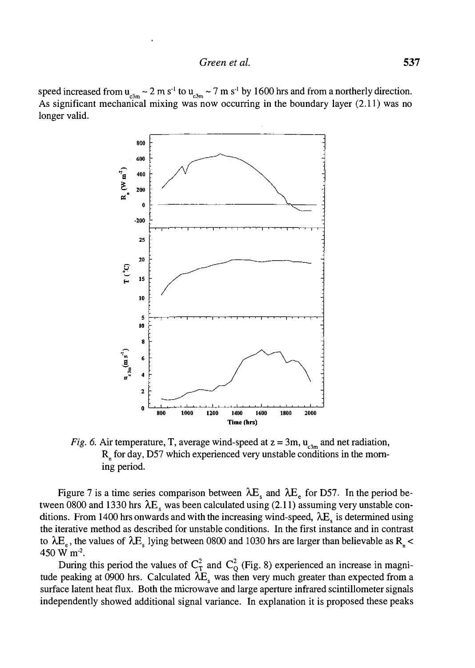speed increased from  $u_{\text{c3m}} \sim 2 \text{ m s}^{-1}$  to  $u_{\text{c3m}} \sim 7 \text{ m s}^{-1}$  by 1600 hrs and from a northerly direction. As significant mechanical mixing was now occurring in the boundary layer (2.11) was no longer valid.



Fig. 6. Air temperature, T, average wind-speed at  $z = 3m$ ,  $u_{\text{c,m}}$  and net radiation,  $R<sub>n</sub>$  for day, D57 which experienced very unstable conditions in the morning period.

Figure 7 is a time series comparison between  $\lambda E_s$  and  $\lambda E_e$  for D57. In the period between 0800 and 1330 hrs  $\lambda E_s$  was been calculated using (2.11) assuming very unstable conditions. From 1400 hrs onwards and with the increasing wind-speed,  $\lambda E_s$  is determined using the iterative method as described for unstable conditions. In the first instance and in contrast to  $\lambda E_{\gamma}$ , the values of  $\lambda E_{\gamma}$  lying between 0800 and 1030 hrs are larger than believable as R<sub>n</sub> < 450 W m<sup>-2</sup>.

During this period the values of  $C_T^2$  and  $C_Q^2$  (Fig. 8) experienced an increase in magnitude peaking at 0900 hrs. Calculated  $\lambda E_s$  was then very much greater than expected from a surface latent heat flux. Both the microwave and large aperture infrared scintillometer signals independently showed additional signal variance. In explanation it is proposed these peaks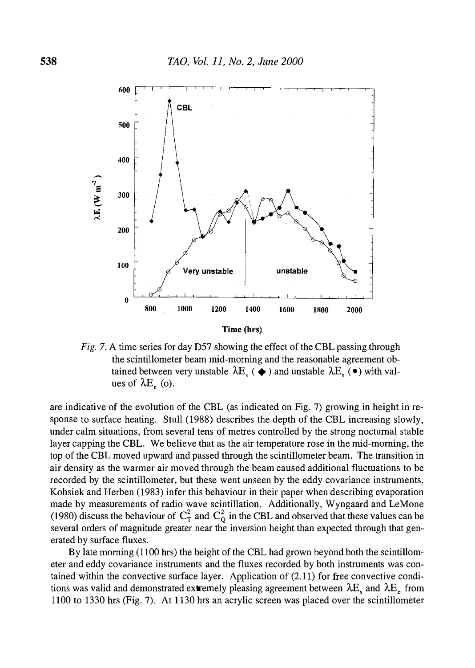

Fig. 7. A time series for day D57 showing the effect of the CBL passing through the scintillometer beam mid-morning and the reasonable agreement obtained between very unstable  $\lambda E_{\epsilon}$  ( $\blacklozenge$ ) and unstable  $\lambda E_{\epsilon}$  ( $\blacktriangleright$ ) with values of  $\lambda E_e$  (o).

are indicative of the evolution of the CBL (as indicated on Fig. 7) growing in height in response to surface heating. Stull (1988) describes the depth of the CBL increasing slowly, under calm situations, from several tens of metres controlled by the strong nocturnal stable layer capping the CBL. We believe that as the air temperature rose in the mid-morning, the top of the CBL moved upward and passed through the scintillometer beam. The transition in air density as the warmer air moved through the beam caused additional fluctuations to be recorded by the scintillometer, but these went unseen by the eddy covariance instruments. Kohsiek and Herben (1983) infer this behaviour in their paper when describing evaporation made by measurements of radio wave scintillation. Additionally, Wyngaard and LeMone (1980) discuss the behaviour of  $C_T^2$  and  $C_Q^2$  in the CBL and observed that these values can be several orders of magnitude greater near the inversion height than expected through that generated by surface fluxes.

By late morning (1100 hrs) the height of the CBL had grown beyond both the scintillometer and eddy covariance instruments and the fluxes recorded by both instruments was contained within the convective surface layer. Application of (2.11) for free convective conditions was valid and demonstrated extremely pleasing agreement between  $\lambda E_s$  and  $\lambda E_e$  from 1100 to 1330 hrs (Fig. 7). At 1130 hrs an acrylic screen was placed over the scintillometer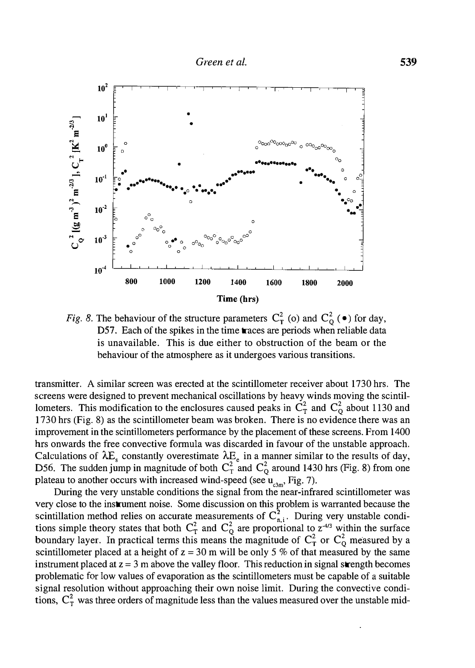

Fig. 8. The behaviour of the structure parameters  $C_T^2$  (o) and  $C_Q^2$  ( $\bullet$ ) for day, D57. Each of the spikes in the time traces are periods when reliable data is unavailable. This is due either to obstruction of the beam or the behaviour of the atmosphere as it undergoes various transitions.

transmitter. A similar screen was erected at the scintillometer receiver about 1730 hrs. The screens were designed to prevent mechanical oscillations by heavy winds moving the scintillometers. This modification to the enclosures caused peaks in  $C_T^2$  and  $C_Q^2$  about 1130 and 1730 hrs (Fig. 8) as the scintillometer beam was broken. There is no evidence there was an improvement in the scintillometers performance by the placement of these screens. From 1400 hrs onwards the free convective formula was discarded in favour of the unstable approach. Calculations of  $\Delta E_s$  constantly overestimate  $\Delta E_e$  in a manner similar to the results of day, D56. The sudden jump in magnitude of both  $C_T^2$  and  $C_Q^2$  around 1430 hrs (Fig. 8) from one plateau to another occurs with increased wind-speed (see  $\mathbf{u}_{\text{c3m}}$ , Fig. 7).

During the very unstable conditions the signal from the near-infrared scintillometer was very close to the instrument noise. Some discussion on this problem is warranted because the scintillation method relies on accurate measurements of  $C_{n,i}^2$ . During very unstable conditions simple theory states that both  $C_T^2$  and  $C_Q^2$  are proportional to  $z^{4/3}$  within the surface boundary layer. In practical terms this means the magnitude of  $C_T^2$  or  $C_O^2$  measured by a scintillometer placed at a height of  $z = 30$  m will be only 5 % of that measured by the same instrument placed at  $z = 3$  m above the valley floor. This reduction in signal strength becomes problematic for low values of evaporation as the scintillometers must be capable of a suitable signal resolution without approaching their own noise limit. During the convective conditions,  $C_T^2$  was three orders of magnitude less than the values measured over the unstable mid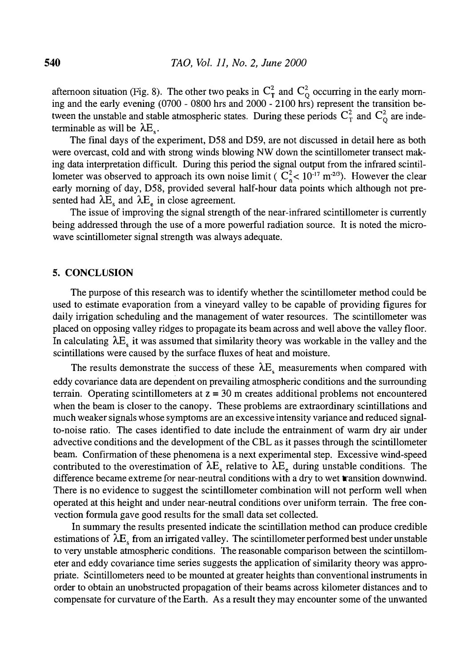afternoon situation (Fig. 8). The other two peaks in  $C_T^2$  and  $C_O^2$  occurring in the early morning and the early evening (0700 - 0800 hrs and 2000 - 2100 hrs) represent the transition between the unstable and stable atmospheric states. During these periods  $C_T^2$  and  $C_O^2$  are indeterminable as will be  $\lambda E_{\rm s}$ .

The final days of the experiment, D58 and D59, are not discussed in detail here as both were overcast, cold and with strong winds blowing NW down the scintillometer transect making data interpretation difficult. During this period the signal output from the infrared scintillometer was observed to approach its own noise limit ( $C_0^2 < 10^{-17}$  m<sup>-2/3</sup>). However the clear early morning of day, D58, provided several half-hour data points which although not presented had  $\lambda E_c$  and  $\lambda E_a$  in close agreement.

The issue of improving the signal strength of the near-infrared scintillometer is currently being addressed through the use of a more powerful radiation source. It is noted the microwave scintillometer signal strength was always adequate.

#### 5. CONCLUSION

The purpose of this research was to identify whether the scintillometer method could be used to estimate evaporation from a vineyard valley to be capable of providing figures for daily irrigation scheduling and the management of water resources. The scintillometer was placed on opposing valley ridges to propagate its beam across and well above the valley floor. In calculating  $\lambda E<sub>s</sub>$  it was assumed that similarity theory was workable in the valley and the scintillations were caused by the surface fluxes of heat and moisture\_

The results demonstrate the success of these  $\lambda E$ , measurements when compared with eddy covariance data are dependent on prevailing atmospheric conditions and the surrounding terrain. Operating scintillometers at  $z = 30$  m creates additional problems not encountered when the beam is closer to the canopy. These problems are extraordinary scintillations and much weaker signals whose symptoms are an excessive intensity variance and reduced signalto-noise ratio. The cases identified to date include the entrainment of warm dry air under advective conditions and the development of the CBL as it passes through the scintillometer beam. Confirmation of these phenomena is a next experimental step. Excessive wind-speed contributed to the overestimation of  $\lambda E_s$  relative to  $\lambda E_e$  during unstable conditions. The difference became extreme for near-neutral conditions with a dry to wet transition downwind. There is no evidence to suggest the scintillometer combination will not perform well when operated at this height and under near-neutral conditions over uniform terrain. The free convection formula gave good results for the small data set collected.

In summary the results presented indicate the scintillation method can produce credible estimations of  $\lambda E<sub>s</sub>$  from an irrigated valley. The scintillometer performed best under unstable to very unstable atmospheric conditions. The reasonable comparison between the scintillometer and eddy covariance time series suggests the application of similarity theory was appropriate. Scintillometers need to be mounted at greater heights than conventional instruments in order to obtain an unobstructed propagation of their beams across kilometer distances and to compensate for curvature of the Earth. As a result they may encounter some of the unwanted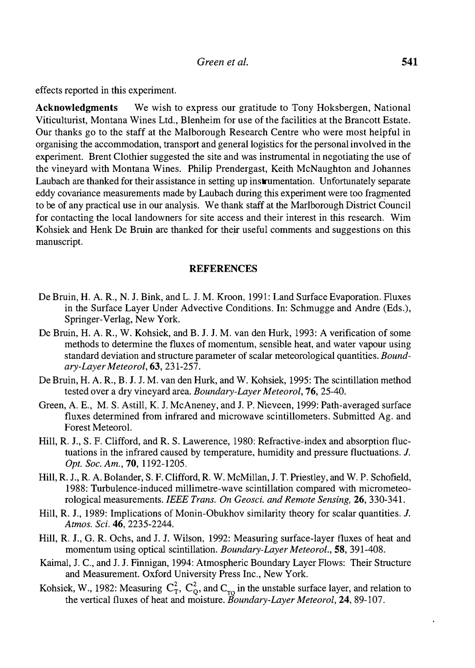effects reported in this experiment.

Acknowledgments We wish to express our gratitude to Tony Hoksbergen, National Viticulturist, Montana Wines Ltd., Blenheim for use of the facilities at the Brancott Estate. Our thanks go to the staff at the Malborough Research Centre who were most helpful in organising the accommodation, transport and general logistics for the personal involved in the experiment. Brent Clothier suggested the site and was instrumental in negotiating the use of the vineyard with Montana Wines. Philip Prendergast, Keith McNaughton and Johannes Laubach are thanked for their assistance in setting up instrumentation. Unfortunately separate eddy covariance measurements made by Laubach during this experiment were too fragmented to be of any practical use in our analysis. We thank staff at the Marlborough District Council for contacting the local landowners for site access and their interest in this research. Wim Kohsiek and Henk De Bruin are thanked for their useful comments and suggestions on this manuscript.

## **REFERENCES**

- De Bruin, H. A. R., N. J. Bink, and L. J.M. Kroon, 1991: Land Surface Evaporation. Fluxes in the Surface Layer Under Advective Conditions. In: Schmugge and Andre (Eds.), Springer-Verlag, New York.
- De Bruin, H. A. R., W. Kohsiek, and B. J. J.M. van den Hurk, 1993: A verification of some methods to determine the fluxes of momentum, sensible heat, and water vapour using standard deviation and structure parameter of scalar meteorological quantities. Boundary-Layer Meteorol, 63, 231-257.
- De Bruin, H. A. R., B. J. J.M. van den Hurk, and W. Kohsiek, 1995: The scintillation method tested over a dry vineyard area. Boundary-Layer Meteorol, 76, 25-40.
- Green, A. E., M. S. Astill, K. J. McAneney, and J.P. Nieveen, 1999: Path-averaged surface fluxes determined from infrared and microwave scintillometers. Submitted Ag. and Forest Meteorol.
- Hill, R. J., S. F. Clifford, and R. S. Lawerence, 1980: Refractive-index and absorption fluctuations in the infrared caused by temperature, humidity and pressure fluctuations. J. Opt. Soc. Am., 70, 1192-1205.
- Hill, R. J., R. A. Bolander, S. F. Clifford, R. W. McMillan, J. T. Priestley, and W. P. Schofield, 1988: Turbulence-induced millimetre-wave scintillation compared with micrometeorological measurements. IEEE Trans. On Geosci. and Remote Sensing, 26, 330-341.
- Hill, R. J., 1989: Implications of Monin-Obukhov similarity theory for scalar quantities. J. Atmos. Sci. 46, 2235-2244.
- Hill, R. J., G. R. Ochs, and J. J. Wilson, 1992: Measuring surface-layer fluxes of heat and momentum using optical scintillation. Boundary-Layer Meteorol., 58, 391-408.
- Kaimal, J. C., and J. J. Finnigan, 1994: Atmospheric Boundary Layer Flows: Their Structure and Measurement. Oxford University Press Inc., New York.
- Kohsiek, W., 1982: Measuring  $C_T^2$ ,  $C_Q^2$ , and  $C_{TQ}$  in the unstable surface layer, and relation to the vertical fluxes of heat and moisture. Boundary-Layer Meteorol, 24, 89-107.